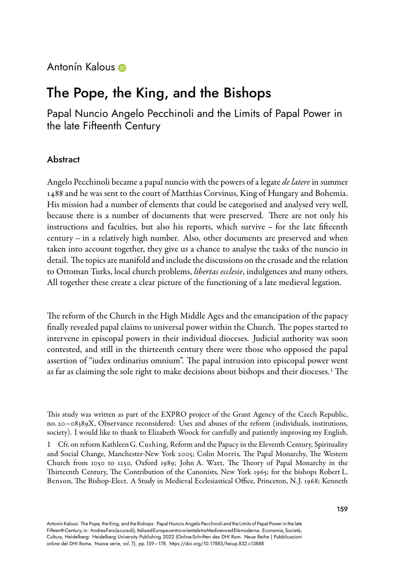## Antonín Kalous **O**

# The Pope, the King, and the Bishops

Papal Nuncio Angelo Pecchinoli and the Limits of Papal Power in the late Fifteenth Century

## Abstract

Angelo Pecchinoli became a papal nuncio with the powers of a legate *de latere* in summer 1488 and he was sent to the court of Matthias Corvinus, King of Hungary and Bohemia. His mission had a number of elements that could be categorised and analysed very well, because there is a number of documents that were preserved. There are not only his instructions and faculties, but also his reports, which survive – for the late fifteenth century – in a relatively high number. Also, other documents are preserved and when taken into account together, they give us a chance to analyse the tasks of the nuncio in detail. The topics are manifold and include the discussions on the crusade and the relation to Ottoman Turks, local church problems, *libertas ecclesie*, indulgences and many others. All together these create a clear picture of the functioning of a late medieval legation.

The reform of the Church in the High Middle Ages and the emancipation of the papacy finally revealed papal claims to universal power within the Church. The popes started to intervene in episcopal powers in their individual dioceses. Judicial authority was soon contested, and still in the thirteenth century there were those who opposed the papal assertion of "iudex ordinarius omnium". The papal intrusion into episcopal power went as far as claiming the sole right to make decisions about bishops and their dioceses. <sup>1</sup> The

This study was written as part of the EXPRO project of the Grant Agency of the Czech Republic, no. 20–08389X, Observance reconsidered: Uses and abuses of the reform (individuals, institutions, society). I would like to thank to Elizabeth Woock for carefully and patiently improving my English.

1 Cfr. on reform Kathleen G. Cushing, Reform and the Papacy in the Eleventh Century, Spirituality and Social Change, Manchester-New York 2005; Colin Morris, The Papal Monarchy, The Western Church from 1050 to 1250, Oxford 1989; John A. Watt, The Theory of Papal Monarchy in the Thirteenth Century, The Contribution of the Canonists, New York 1965; for the bishops Robert L. Benson, The Bishop-Elect. A Study in Medieval Ecclesiastical Office, Princeton, N.J. 1968; Kenneth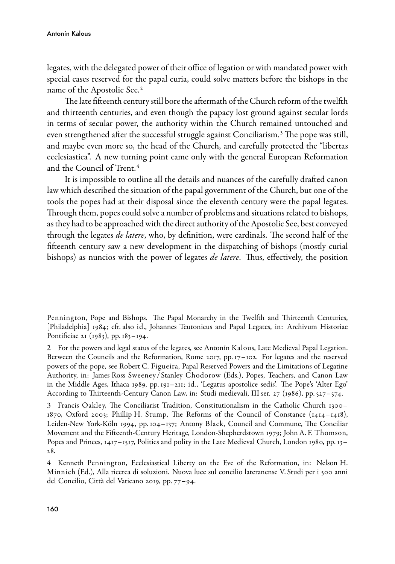legates, with the delegated power of their office of legation or with mandated power with special cases reserved for the papal curia, could solve matters before the bishops in the name of the Apostolic See. <sup>2</sup>

The late fifteenth century still bore the aftermath of the Church reform of the twelfth and thirteenth centuries, and even though the papacy lost ground against secular lords in terms of secular power, the authority within the Church remained untouched and even strengthened after the successful struggle against Conciliarism. <sup>3</sup> The pope was still, and maybe even more so, the head of the Church, and carefully protected the "libertas ecclesiastica". A new turning point came only with the general European Reformation and the Council of Trent. <sup>4</sup>

It is impossible to outline all the details and nuances of the carefully drafted canon law which described the situation of the papal government of the Church, but one of the tools the popes had at their disposal since the eleventh century were the papal legates. Through them, popes could solve a number of problems and situations related to bishops, as they had to be approached with the direct authority of the Apostolic See, best conveyed through the legates *de latere*, who, by definition, were cardinals. The second half of the fifteenth century saw a new development in the dispatching of bishops (mostly curial bishops) as nuncios with the power of legates *de latere*. Thus, effectively, the position

Penning ton, Pope and Bishops. The Papal Monarchy in the Twelfth and Thirteenth Centuries, [Philadelphia] 1984; cfr. also id., Johannes Teutonicus and Papal Legates, in: Archivum Historiae Pontificiae 21 (1983), pp. 183–194.

2 For the powers and legal status of the legates, see Antonín Kalous, Late Medieval Papal Legation. Between the Councils and the Reformation, Rome 2017, pp. 17–102. For legates and the reserved powers of the pope, see Robert C. Figueira, Papal Reserved Powers and the Limitations of Legatine Authority, in: James Ross Sweeney / Stanley Chodorow (Eds.), Popes, Teachers, and Canon Law in the Middle Ages, Ithaca 1989, pp. 191–211; id., 'Legatus apostolice sedis'. The Pope's 'Alter Ego' According to Thirteenth-Century Canon Law, in: Studi medievali, III ser. 27 (1986), pp. 527-574.

3 Francis Oakley, The Conciliarist Tradition, Constitutionalism in the Catholic Church 1300– 1870, Oxford 2003; Phillip H. Stump, The Reforms of the Council of Constance (1414–1418), Leiden-New York-Köln 1994, pp. 104–137; Antony Black, Council and Commune, The Conciliar Movement and the Fifteenth-Century Heritage, London-Shepherdstown 1979; John A. F. Thomson, Popes and Princes, 1417–1517, Politics and polity in the Late Medieval Church, London 1980, pp. 13– 28.

4 Kenneth Pennington, Ecclesiastical Liberty on the Eve of the Reformation, in: Nelson H. Minnich (Ed.), Alla ricerca di soluzioni. Nuova luce sul concilio lateranense V. Studi per i 500 anni del Concilio, Città del Vaticano 2019, pp. 77–94.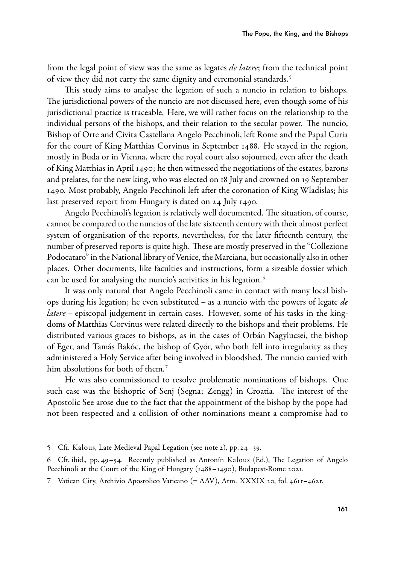from the legal point of view was the same as legates *de latere*; from the technical point of view they did not carry the same dignity and ceremonial standards. <sup>5</sup>

This study aims to analyse the legation of such a nuncio in relation to bishops. The jurisdictional powers of the nuncio are not discussed here, even though some of his jurisdictional practice is traceable. Here, we will rather focus on the relationship to the individual persons of the bishops, and their relation to the secular power. The nuncio, Bishop of Orte and Civita Castellana Angelo Pecchinoli, left Rome and the Papal Curia for the court of King Matthias Corvinus in September 1488. He stayed in the region, mostly in Buda or in Vienna, where the royal court also sojourned, even after the death of King Matthias in April 1490; he then witnessed the negotiations of the estates, barons and prelates, for the new king, who was elected on 18 July and crowned on 19 September 1490. Most probably, Angelo Pecchinoli left after the coronation of King Wladislas; his last preserved report from Hungary is dated on 24 July 1490.

Angelo Pecchinoli's legation is relatively well documented. The situation, of course, cannot be compared to the nuncios of the late sixteenth century with their almost perfect system of organisation of the reports, nevertheless, for the later fifteenth century, the number of preserved reports is quite high. These are mostly preserved in the "Collezione Podocataro" in the National library of Venice, the Marciana, but occasionally also in other places. Other documents, like faculties and instructions, form a sizeable dossier which can be used for analysing the nuncio's activities in his legation.<sup>6</sup>

It was only natural that Angelo Pecchinoli came in contact with many local bishops during his legation; he even substituted – as a nuncio with the powers of legate  $de$ latere – episcopal judgement in certain cases. However, some of his tasks in the kingdoms of Matthias Corvinus were related directly to the bishops and their problems. He distributed various graces to bishops, as in the cases of Orbán Nagylucsei, the bishop of Eger, and Tamás Bakóc, the bishop of Győr, who both fell into irregularity as they administered a Holy Service after being involved in bloodshed. The nuncio carried with him absolutions for both of them.<sup>7</sup>

He was also commissioned to resolve problematic nominations of bishops. One such case was the bishopric of Senj (Segna; Zengg) in Croatia. The interest of the Apostolic See arose due to the fact that the appointment of the bishop by the pope had not been respected and a collision of other nominations meant a compromise had to

5 Cfr. Kalous, Late Medieval Papal Legation (see note 2), pp. 24–39.

6 Cfr. ibid., pp. 49–54. Recently published as Antonín Kalous (Ed.), The Legation of Angelo Pecchinoli at the Court of the King of Hungary (1488–1490), Budapest-Rome 2021.

<sup>7</sup> Vatican City, Archivio Apostolico Vaticano (= AAV), Arm. XXXIX 20, fol. 461r–462r.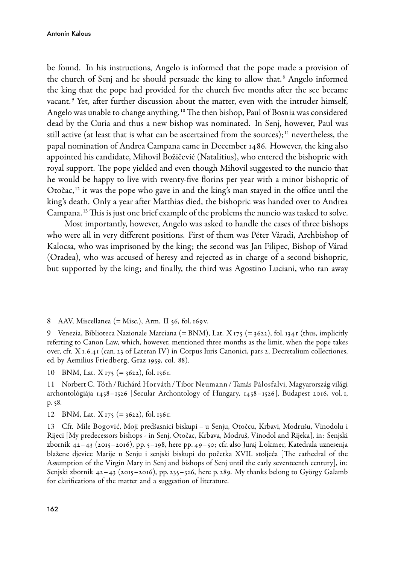be found. In his instructions, Angelo is informed that the pope made a provision of the church of Senj and he should persuade the king to allow that. <sup>8</sup> Angelo informed the king that the pope had provided for the church five months after the see became vacant. <sup>9</sup> Yet, after further discussion about the matter, even with the intruder himself, Angelo was unable to change anything. <sup>10</sup> The then bishop, Paul of Bosnia was considered dead by the Curia and thus a new bishop was nominated. In Senj, however, Paul was still active (at least that is what can be ascertained from the sources);  $\frac{11}{11}$  nevertheless, the papal nomination of Andrea Campana came in December 1486. However, the king also appointed his candidate, Mihovil Božičević (Natalitius), who entered the bishopric with royal support. The pope yielded and even though Mihovil suggested to the nuncio that he would be happy to live with twenty-five florins per year with a minor bishopric of Otočac,  $12$  it was the pope who gave in and the king's man stayed in the office until the king's death. Only a year after Matthias died, the bishopric was handed over to Andrea Campana. <sup>13</sup> This is just one brief example of the problems the nuncio was tasked to solve.

Most importantly, however, Angelo was asked to handle the cases of three bishops who were all in very different positions. First of them was Péter Váradi, Archbishop of Kalocsa, who was imprisoned by the king; the second was Jan Filipec, Bishop of Várad (Oradea), who was accused of heresy and rejected as in charge of a second bishopric, but supported by the king; and finally, the third was Agostino Luciani, who ran away

8 AAV, Miscellanea (= Misc.), Arm. II 56, fol. 169v.

9 Venezia, Biblioteca Nazionale Marciana (= BNM), Lat. X 175 (= 3622), fol. 134 r (thus, implicitly referring to Canon Law, which, however, mentioned three months as the limit, when the pope takes over, cfr. X 1.6.41 (can. 23 of Lateran IV) in Corpus Iuris Canonici, pars 2, Decretalium collectiones, ed. by Aemilius Friedberg, Graz 1959, col. 88).

10 BNM, Lat. X 175 (= 3622), fol. 136r.

11 Norbert C. Tóth /Richárd Horváth /Tibor Neumann /Tamás Pálosfalvi, Magyarország világi archontológiája 1458–1526 [Secular Archontology of Hungary, 1458–1526], Budapest 2016, vol. 1, p. 58.

12 BNM, Lat.  $X_{175}$  (= 3622), fol. 136 r.

13 Cfr. Mile Bogović, Moji predšasnici biskupi – u Senju, Otočcu, Krbavi, Modrušu, Vinodolu i Rijeci [My predecessors bishops - in Senj, Otočac, Krbava, Modruš, Vinodol and Rijeka], in: Senjski zbornik 42–43 (2015–2016), pp. 5–198, here pp. 49–50; cfr. also Juraj Lokmer, Katedrala uznesenja blažene djevice Marije u Senju i senjski biskupi do početka XVII. stoljeća [The cathedral of the Assumption of the Virgin Mary in Senj and bishops of Senj until the early seventeenth century], in: Senjski zbornik 42–43 (2015–2016), pp. 235–326, here p. 289. My thanks belong to György Galamb for clarifications of the matter and a suggestion of literature.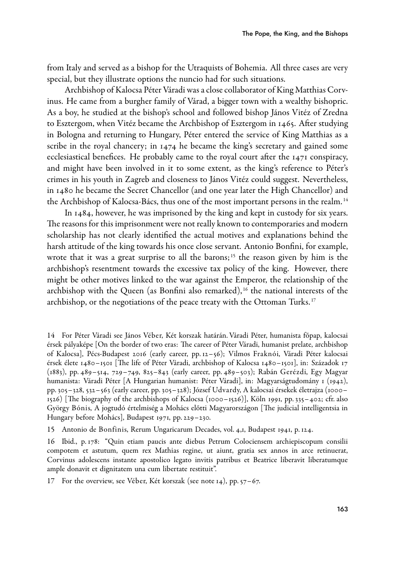from Italy and served as a bishop for the Utraquists of Bohemia. All three cases are very special, but they illustrate options the nuncio had for such situations.

Archbishop of Kalocsa Péter Váradi was a close collaborator of King Matthias Corvinus. He came from a burgher family of Várad, a bigger town with a wealthy bishopric. As a boy, he studied at the bishop's school and followed bishop János Vitéz of Zredna to Esztergom, when Vitéz became the Archbishop of Esztergom in 1465. After studying in Bologna and returning to Hungary, Péter entered the service of King Matthias as a scribe in the royal chancery; in 1474 he became the king's secretary and gained some ecclesiastical benefices. He probably came to the royal court after the 1471 conspiracy, and might have been involved in it to some extent, as the king's reference to Péter's crimes in his youth in Zagreb and closeness to János Vitéz could suggest. Nevertheless, in 1480 he became the Secret Chancellor (and one year later the High Chancellor) and the Archbishop of Kalocsa-Bács, thus one of the most important persons in the realm.<sup>14</sup>

In 1484, however, he was imprisoned by the king and kept in custody for six years. The reasons for this imprisonment were not really known to contemporaries and modern scholarship has not clearly identified the actual motives and explanations behind the harsh attitude of the king towards his once close servant. Antonio Bonfini, for example, wrote that it was a great surprise to all the barons;<sup>15</sup> the reason given by him is the archbishop's resentment towards the excessive tax policy of the king. However, there might be other motives linked to the war against the Emperor, the relationship of the archbishop with the Queen (as Bonfini also remarked), <sup>16</sup> the national interests of the archbishop, or the negotiations of the peace treaty with the Ottoman Turks.<sup>17</sup>

<sup>14</sup> For Péter Váradi see János Véber, Két korszak határán. Váradi Péter, humanista főpap, kalocsai érsek pályaképe [On the border of two eras: The career of Péter Váradi, humanist prelate, archbishop of Kalocsa], PécsBudapest 2016 (early career, pp. 12–56); Vilmos Fraknói, Váradi Péter kalocsai érsek élete 1480–1501 [The life of Péter Váradi, archbishop of Kalocsa 1480–1501], in: Századok 17 (1883), pp. 489–514, 729–749, 825–843 (early career, pp. 489–503); Rabán Gerézdi, Egy Magyar humanista: Váradi Péter [A Hungarian humanist: Péter Váradi], in: Magyarságtudomány 1 (1942), pp. 305–328, 532–563 (early career, pp. 305–328); József Udvardy, A kalocsai érsekek életrajza (1000–  $1526$ ) [The biography of the archbishops of Kalocsa (1000–1526)], Köln 1991, pp. 335–402; cfr. also György Bónis, A jogtudó értelmiség a Mohács előtti Magyarországon [The judicial intelligentsia in Hungary before Mohács], Budapest 1971, pp. 229–230.

<sup>15</sup> Antonio de Bonfinis, Rerum Ungaricarum Decades, vol. 4,1, Budapest 1941, p. 124.

<sup>16</sup> Ibid., p. 178: "Quin etiam paucis ante diebus Petrum Colociensem archiepiscopum consilii compotem et astutum, quem rex Mathias regine, ut aiunt, gratia sex annos in arce retinuerat, Corvinus adolescens instante apostolico legato invitis patribus et Beatrice liberavit liberatumque ample donavit et dignitatem una cum libertate restituit".

<sup>17</sup> For the overview, see Véber, Két korszak (see note 14), pp. 57–67.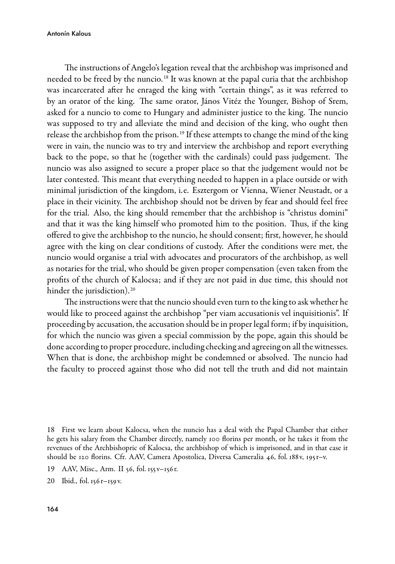#### Antonín Kalous

The instructions of Angelo's legation reveal that the archbishop was imprisoned and needed to be freed by the nuncio. <sup>18</sup> It was known at the papal curia that the archbishop was incarcerated after he enraged the king with "certain things", as it was referred to by an orator of the king. The same orator, János Vitéz the Younger, Bishop of Srem, asked for a nuncio to come to Hungary and administer justice to the king. The nuncio was supposed to try and alleviate the mind and decision of the king, who ought then release the archbishop from the prison. <sup>19</sup> If these attempts to change the mind of the king were in vain, the nuncio was to try and interview the archbishop and report everything back to the pope, so that he (together with the cardinals) could pass judgement. The nuncio was also assigned to secure a proper place so that the judgement would not be later contested. This meant that everything needed to happen in a place outside or with minimal jurisdiction of the kingdom, i.e. Esztergom or Vienna, Wiener Neustadt, or a place in their vicinity. The archbishop should not be driven by fear and should feel free for the trial. Also, the king should remember that the archbishop is "christus domini" and that it was the king himself who promoted him to the position. Thus, if the king offered to give the archbishop to the nuncio, he should consent; first, however, he should agree with the king on clear conditions of custody. After the conditions were met, the nuncio would organise a trial with advocates and procurators of the archbishop, as well as notaries for the trial, who should be given proper compensation (even taken from the profits of the church of Kalocsa; and if they are not paid in due time, this should not hinder the jurisdiction).<sup>20</sup>

The instructions were that the nuncio should even turn to the king to ask whether he would like to proceed against the archbishop "per viam accusationis vel inquisitionis". If proceeding by accusation, the accusation should be in proper legal form; if by inquisition, for which the nuncio was given a special commission by the pope, again this should be done according to proper procedure, including checking and agreeing on all the witnesses. When that is done, the archbishop might be condemned or absolved. The nuncio had the faculty to proceed against those who did not tell the truth and did not maintain

18 First we learn about Kalocsa, when the nuncio has a deal with the Papal Chamber that either he gets his salary from the Chamber directly, namely 100 florins per month, or he takes it from the revenues of the Archbishopric of Kalocsa, the archbishop of which is imprisoned, and in that case it should be 120 florins. Cfr. AAV, Camera Apostolica, Diversa Cameralia 46, fol. 188v, 195r–v.

19 AAV, Misc., Arm. II 56, fol. 155v–156r.

20 Ibid., fol. 156r–159v.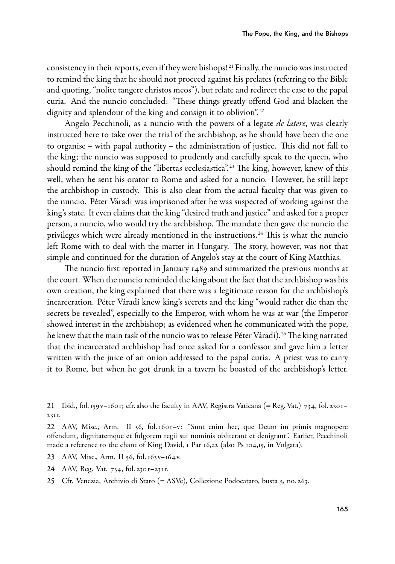consistency in their reports, even if they were bishops! <sup>21</sup> Finally, the nuncio was instructed to remind the king that he should not proceed against his prelates (referring to the Bible and quoting, "nolite tangere christos meos"), but relate and redirect the case to the papal curia. And the nuncio concluded: "These things greatly offend God and blacken the dignity and splendour of the king and consign it to oblivion".<sup>22</sup>

Angelo Pecchinoli, as a nuncio with the powers of a legate *de latere*, was clearly instructed here to take over the trial of the archbishop, as he should have been the one to organise – with papal authority – the administration of justice. This did not fall to the king; the nuncio was supposed to prudently and carefully speak to the queen, who should remind the king of the "libertas ecclesiastica".<sup>23</sup> The king, however, knew of this well, when he sent his orator to Rome and asked for a nuncio. However, he still kept the archbishop in custody. This is also clear from the actual faculty that was given to the nuncio. Péter Váradi was imprisoned after he was suspected of working against the king's state. It even claims that the king "desired truth and justice" and asked for a proper person, a nuncio, who would try the archbishop. The mandate then gave the nuncio the privileges which were already mentioned in the instructions. <sup>24</sup> This is what the nuncio left Rome with to deal with the matter in Hungary. The story, however, was not that simple and continued for the duration of Angelo's stay at the court of King Matthias.

The nuncio first reported in January 1489 and summarized the previous months at the court. When the nuncio reminded the king about the fact that the archbishop was his own creation, the king explained that there was a legitimate reason for the archbishop's incarceration. Péter Váradi knew king's secrets and the king "would rather die than the secrets be revealed", especially to the Emperor, with whom he was at war (the Emperor showed interest in the archbishop; as evidenced when he communicated with the pope, he knew that the main task of the nuncio was to release Péter Váradi).<sup>25</sup> The king narrated that the incarcerated archbishop had once asked for a confessor and gave him a letter written with the juice of an onion addressed to the papal curia. A priest was to carry it to Rome, but when he got drunk in a tavern he boasted of the archbishop's letter.

- 23 AAV, Misc., Arm. II 56, fol. 163v–164v.
- 24 AAV, Reg. Vat. 734, fol. 230r–231r.
- 25 Cfr. Venezia, Archivio di Stato (= ASVe), Collezione Podocataro, busta 5, no. 263.

<sup>21</sup> Ibid., fol. 159v–160r; cfr. also the faculty in AAV, Registra Vaticana (= Reg. Vat.) 734, fol. 230r– 231r.

<sup>22</sup> AAV, Misc., Arm. II 56, fol. 160r–v: "Sunt enim hec, que Deum im primis magnopere offendunt, dignitatemque et fulgorem regii sui nominis obliterant et denigrant". Earlier, Pecchinoli made a reference to the chant of King David, 1 Par 16,22 (also Ps 104,15, in Vulgata).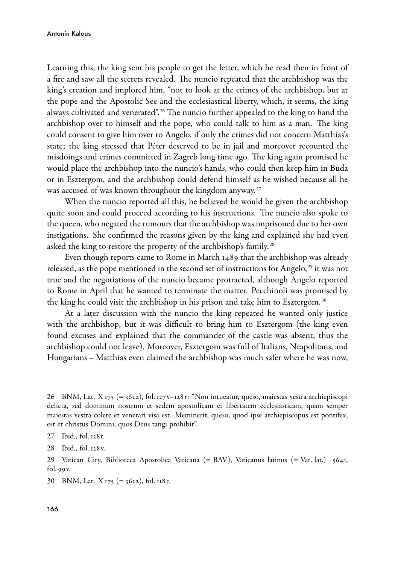Learning this, the king sent his people to get the letter, which he read then in front of a fire and saw all the secrets revealed. The nuncio repeated that the archbishop was the king's creation and implored him, "not to look at the crimes of the archbishop, but at the pope and the Apostolic See and the ecclesiastical liberty, which, it seems, the king always cultivated and venerated".<sup>26</sup> The nuncio further appealed to the king to hand the archbishop over to himself and the pope, who could talk to him as a man. The king could consent to give him over to Angelo, if only the crimes did not concern Matthias's state; the king stressed that Péter deserved to be in jail and moreover recounted the misdoings and crimes committed in Zagreb long time ago. The king again promised he would place the archbishop into the nuncio's hands, who could then keep him in Buda or in Esztergom, and the archbishop could defend himself as he wished because all he was accused of was known throughout the kingdom anyway.<sup>27</sup>

When the nuncio reported all this, he believed he would be given the archbishop quite soon and could proceed according to his instructions. The nuncio also spoke to the queen, who negated the rumours that the archbishop was imprisoned due to her own instigations. She confirmed the reasons given by the king and explained she had even asked the king to restore the property of the archbishop's family.<sup>28</sup>

Even though reports came to Rome in March 1489 that the archbishop was already released, as the pope mentioned in the second set of instructions for Angelo,<sup>29</sup> it was not true and the negotiations of the nuncio became protracted, although Angelo reported to Rome in April that he wanted to terminate the matter. Pecchinoli was promised by the king he could visit the archbishop in his prison and take him to Esztergom.<sup>30</sup>

At a later discussion with the nuncio the king repeated he wanted only justice with the archbishop, but it was difficult to bring him to Esztergom (the king even found excuses and explained that the commander of the castle was absent, thus the archbishop could not leave). Moreover, Esztergom was full of Italians, Neapolitans, and Hungarians – Matthias even claimed the archbishop was much safer where he was now,

26 BNM, Lat. X 175 (= 3622), fol. 127v–128r: "Non intueatur, queso, maiestas vestra archiepiscopi delicta, sed dominum nostrum et sedem apostolicam et libertatem ecclesiasticam, quam semper maiestas vestra colere et venerari visa est. Meminerit, queso, quod ipse archiepiscopus est pontifex, est et christus Domini, quos Deus tangi prohibit".

29 Vatican City, Biblioteca Apostolica Vaticana (= BAV), Vaticanus latinus (= Vat. lat.) 5641, fol. 99v.

30 BNM, Lat. X 175 (= 3622), fol. 118r.

<sup>27</sup> Ibid., fol. 128r.

<sup>28</sup> Ibid., fol. 128v.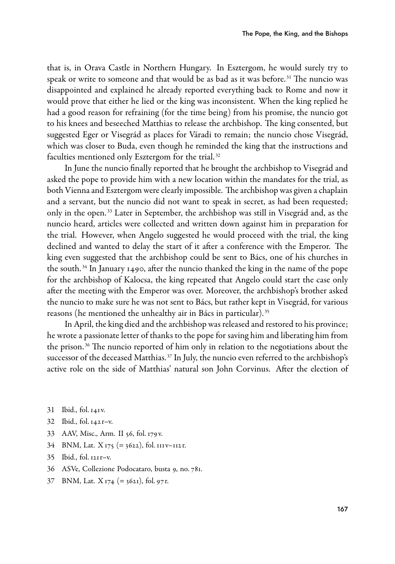that is, in Orava Castle in Northern Hungary. In Esztergom, he would surely try to speak or write to someone and that would be as bad as it was before.<sup>31</sup> The nuncio was disappointed and explained he already reported everything back to Rome and now it would prove that either he lied or the king was inconsistent. When the king replied he had a good reason for refraining (for the time being) from his promise, the nuncio got to his knees and beseeched Matthias to release the archbishop. The king consented, but suggested Eger or Visegrád as places for Váradi to remain; the nuncio chose Visegrád, which was closer to Buda, even though he reminded the king that the instructions and faculties mentioned only Esztergom for the trial. <sup>32</sup>

In June the nuncio finally reported that he brought the archbishop to Visegrád and asked the pope to provide him with a new location within the mandates for the trial, as both Vienna and Esztergom were clearly impossible. The archbishop was given a chaplain and a servant, but the nuncio did not want to speak in secret, as had been requested; only in the open. <sup>33</sup> Later in September, the archbishop was still in Visegrád and, as the nuncio heard, articles were collected and written down against him in preparation for the trial. However, when Angelo suggested he would proceed with the trial, the king declined and wanted to delay the start of it after a conference with the Emperor. The king even suggested that the archbishop could be sent to Bács, one of his churches in the south. <sup>34</sup> In January 1490, after the nuncio thanked the king in the name of the pope for the archbishop of Kalocsa, the king repeated that Angelo could start the case only after the meeting with the Emperor was over. Moreover, the archbishop's brother asked the nuncio to make sure he was not sent to Bács, but rather kept in Visegrád, for various reasons (he mentioned the unhealthy air in Bács in particular). <sup>35</sup>

In April, the king died and the archbishop was released and restored to his province; he wrote a passionate letter of thanks to the pope for saving him and liberating him from the prison. <sup>36</sup> The nuncio reported of him only in relation to the negotiations about the successor of the deceased Matthias. <sup>37</sup> In July, the nuncio even referred to the archbishop's active role on the side of Matthias' natural son John Corvinus. After the election of

- 31 Ibid., fol. 141v.
- 32 Ibid., fol. 142r–v.
- 33 AAV, Misc., Arm. II 56, fol. 179v.
- 34 BNM, Lat.  $X_{175}$  (= 3622), fol. 111v–112r.
- 35 Ibid., fol. 121r–v.
- 36 ASVe, Collezione Podocataro, busta 9, no. 781.
- 37 BNM, Lat. X 174 (= 3621), fol. 97r.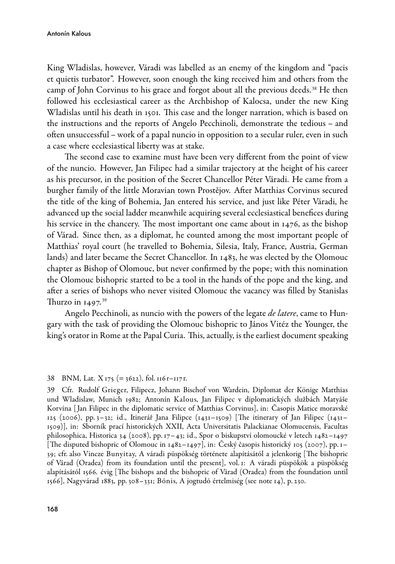King Wladislas, however, Váradi was labelled as an enemy of the kingdom and "pacis et quietis turbator". However, soon enough the king received him and others from the camp of John Corvinus to his grace and forgot about all the previous deeds. <sup>38</sup> He then followed his ecclesiastical career as the Archbishop of Kalocsa, under the new King Wladislas until his death in 1501. This case and the longer narration, which is based on the instructions and the reports of Angelo Pecchinoli, demonstrate the tedious – and often unsuccessful – work of a papal nuncio in opposition to a secular ruler, even in such a case where ecclesiastical liberty was at stake.

The second case to examine must have been very different from the point of view of the nuncio. However, Jan Filipec had a similar trajectory at the height of his career as his precursor, in the position of the Secret Chancellor Péter Váradi. He came from a burgher family of the little Moravian town Prostějov. After Matthias Corvinus secured the title of the king of Bohemia, Jan entered his service, and just like Péter Váradi, he advanced up the social ladder meanwhile acquiring several ecclesiastical benefices during his service in the chancery. The most important one came about in 1476, as the bishop of Várad. Since then, as a diplomat, he counted among the most important people of Matthias' royal court (he travelled to Bohemia, Silesia, Italy, France, Austria, German lands) and later became the Secret Chancellor. In 1483, he was elected by the Olomouc chapter as Bishop of Olomouc, but never confirmed by the pope; with this nomination the Olomouc bishopric started to be a tool in the hands of the pope and the king, and after a series of bishops who never visited Olomouc the vacancy was filled by Stanislas Thurzo in  $1497.^{39}$ 

Angelo Pecchinoli, as nuncio with the powers of the legate de latere, came to Hungary with the task of providing the Olomouc bishopric to János Vitéz the Younger, the king's orator in Rome at the Papal Curia. This, actually, is the earliest document speaking

#### 38 BNM, Lat.  $X_{175}$  (= 3622), fol. 116 r–117 r.

39 Cfr. Rudolf Grieger, Filipecz, Johann Bischof von Wardein, Diplomat der Könige Matthias und Wladislaw, Munich 1982; Antonín Kalous, Jan Filipec v diplomatických službách Matyáše Korvína [ Jan Filipec in the diplomatic service of Matthias Corvinus], in: Časopis Matice moravské 125 (2006), pp. 3–32; id., Itinerář Jana Filipce (1431–1509) [The itinerary of Jan Filipec (1431– 1509)], in: Sborník prací historických XXII, Acta Universitatis Palackianae Olomucensis, Facultas philosophica, Historica 34 (2008), pp. 17–43; id., Spor o biskupství olomoucké v letech 1482–1497 [The disputed bishopric of Olomouc in 1482–1497], in: Český časopis historický 105 (2007), pp. 1– 39; cfr. also Vincze Bunyitay, A váradi püspökség története alapításától a jelenkorig [The bishopric of Várad (Oradea) from its foundation until the present], vol. 1: A váradi püspökök a püspökség alapításától 1566. évig [The bishops and the bishopric of Várad (Oradea) from the foundation until 1566], Nagyvárad 1883, pp. 308–331; Bónis, A jogtudó értelmiség (see note 14), p. 230.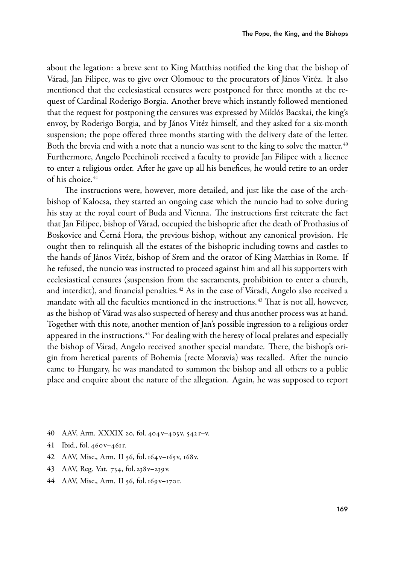about the legation: a breve sent to King Matthias notified the king that the bishop of Várad, Jan Filipec, was to give over Olomouc to the procurators of János Vitéz. It also mentioned that the ecclesiastical censures were postponed for three months at the request of Cardinal Roderigo Borgia. Another breve which instantly followed mentioned that the request for postponing the censures was expressed by Miklós Bacskai, the king's envoy, by Roderigo Borgia, and by János Vitéz himself, and they asked for a six-month suspension; the pope offered three months starting with the delivery date of the letter. Both the brevia end with a note that a nuncio was sent to the king to solve the matter.<sup>40</sup> Furthermore, Angelo Pecchinoli received a faculty to provide Jan Filipec with a licence to enter a religious order. After he gave up all his benefices, he would retire to an order of his choice. <sup>41</sup>

The instructions were, however, more detailed, and just like the case of the archbishop of Kalocsa, they started an ongoing case which the nuncio had to solve during his stay at the royal court of Buda and Vienna. The instructions first reiterate the fact that Jan Filipec, bishop of Várad, occupied the bishopric after the death of Prothasius of Boskovice and Černá Hora, the previous bishop, without any canonical provision. He ought then to relinquish all the estates of the bishopric including towns and castles to the hands of János Vitéz, bishop of Srem and the orator of King Matthias in Rome. If he refused, the nuncio was instructed to proceed against him and all his supporters with ecclesiastical censures (suspension from the sacraments, prohibition to enter a church, and interdict), and financial penalties.<sup>42</sup> As in the case of Váradi, Angelo also received a mandate with all the faculties mentioned in the instructions. <sup>43</sup> That is not all, however, as the bishop of Várad was also suspected of heresy and thus another process was at hand. Together with this note, another mention of Jan's possible ingression to a religious order appeared in the instructions.<sup>44</sup> For dealing with the heresy of local prelates and especially the bishop of Várad, Angelo received another special mandate. There, the bishop's origin from heretical parents of Bohemia (recte Moravia) was recalled. After the nuncio came to Hungary, he was mandated to summon the bishop and all others to a public place and enquire about the nature of the allegation. Again, he was supposed to report

- 40 AAV, Arm. XXXIX 20, fol. 404v–405v, 542r–v.
- 41 Ibid., fol. 460v–461r.
- 42 AAV, Misc., Arm. II 56, fol. 164v–165v, 168v.
- 43 AAV, Reg. Vat. 734, fol. 238v–239v.
- 44 AAV, Misc., Arm. II 56, fol. 169v–170r.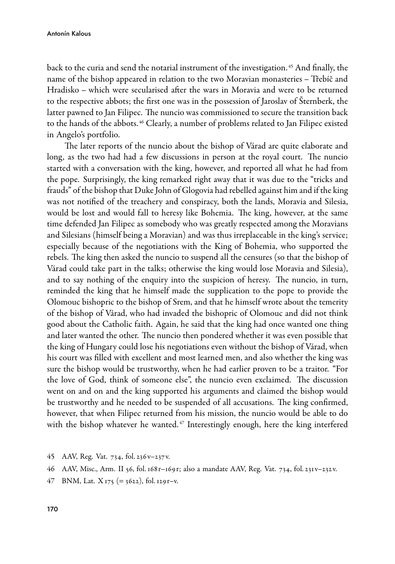back to the curia and send the notarial instrument of the investigation. <sup>45</sup> And finally, the name of the bishop appeared in relation to the two Moravian monasteries – Třebíč and Hradisko – which were secularised after the wars in Moravia and were to be returned to the respective abbots; the first one was in the possession of Jaroslav of Šternberk, the latter pawned to Jan Filipec. The nuncio was commissioned to secure the transition back to the hands of the abbots. <sup>46</sup> Clearly, a number of problems related to Jan Filipec existed in Angelo's portfolio.

The later reports of the nuncio about the bishop of Várad are quite elaborate and long, as the two had had a few discussions in person at the royal court. The nuncio started with a conversation with the king, however, and reported all what he had from the pope. Surprisingly, the king remarked right away that it was due to the "tricks and frauds" of the bishop that Duke John of Glogovia had rebelled against him and if the king was not notified of the treachery and conspiracy, both the lands, Moravia and Silesia, would be lost and would fall to heresy like Bohemia. The king, however, at the same time defended Jan Filipec as somebody who was greatly respected among the Moravians and Silesians (himself being a Moravian) and was thus irreplaceable in the king's service; especially because of the negotiations with the King of Bohemia, who supported the rebels. The king then asked the nuncio to suspend all the censures (so that the bishop of Várad could take part in the talks; otherwise the king would lose Moravia and Silesia), and to say nothing of the enquiry into the suspicion of heresy. The nuncio, in turn, reminded the king that he himself made the supplication to the pope to provide the Olomouc bishopric to the bishop of Srem, and that he himself wrote about the temerity of the bishop of Várad, who had invaded the bishopric of Olomouc and did not think good about the Catholic faith. Again, he said that the king had once wanted one thing and later wanted the other. The nuncio then pondered whether it was even possible that the king of Hungary could lose his negotiations even without the bishop of Várad, when his court was filled with excellent and most learned men, and also whether the king was sure the bishop would be trustworthy, when he had earlier proven to be a traitor. "For the love of God, think of someone else", the nuncio even exclaimed. The discussion went on and on and the king supported his arguments and claimed the bishop would be trustworthy and he needed to be suspended of all accusations. The king confirmed, however, that when Filipec returned from his mission, the nuncio would be able to do with the bishop whatever he wanted.<sup>47</sup> Interestingly enough, here the king interfered

- 45 AAV, Reg. Vat. 734, fol. 236v–237v.
- 46 AAV, Misc., Arm. II 56, fol. 168r–169r; also a mandate AAV, Reg. Vat. 734, fol. 231v–232v.
- 47 BNM, Lat.  $X_{175}$  (= 3622), fol. 129 r–v.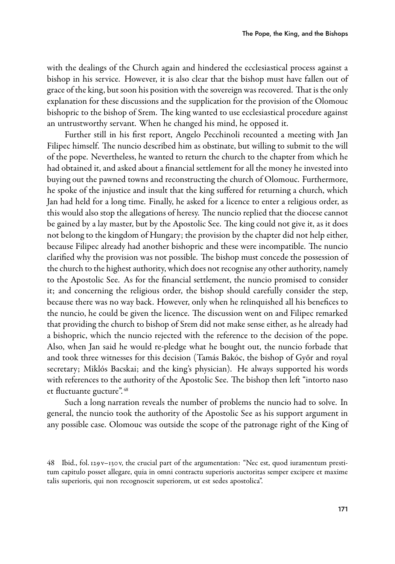with the dealings of the Church again and hindered the ecclesiastical process against a bishop in his service. However, it is also clear that the bishop must have fallen out of grace of the king, but soon his position with the sovereign was recovered. That is the only explanation for these discussions and the supplication for the provision of the Olomouc bishopric to the bishop of Srem. The king wanted to use ecclesiastical procedure against an untrustworthy servant. When he changed his mind, he opposed it.

Further still in his first report, Angelo Pecchinoli recounted a meeting with Jan Filipec himself. The nuncio described him as obstinate, but willing to submit to the will of the pope. Nevertheless, he wanted to return the church to the chapter from which he had obtained it, and asked about a financial settlement for all the money he invested into buying out the pawned towns and reconstructing the church of Olomouc. Furthermore, he spoke of the injustice and insult that the king suffered for returning a church, which Jan had held for a long time. Finally, he asked for a licence to enter a religious order, as this would also stop the allegations of heresy. The nuncio replied that the diocese cannot be gained by a lay master, but by the Apostolic See. The king could not give it, as it does not belong to the kingdom of Hungary; the provision by the chapter did not help either, because Filipec already had another bishopric and these were incompatible. The nuncio clarified why the provision was not possible. The bishop must concede the possession of the church to the highest authority, which does not recognise any other authority, namely to the Apostolic See. As for the financial settlement, the nuncio promised to consider it; and concerning the religious order, the bishop should carefully consider the step, because there was no way back. However, only when he relinquished all his benefices to the nuncio, he could be given the licence. The discussion went on and Filipec remarked that providing the church to bishop of Srem did not make sense either, as he already had a bishopric, which the nuncio rejected with the reference to the decision of the pope. Also, when Jan said he would re-pledge what he bought out, the nuncio forbade that and took three witnesses for this decision (Tamás Bakóc, the bishop of Győr and royal secretary; Miklós Bacskai; and the king's physician). He always supported his words with references to the authority of the Apostolic See. The bishop then left "intorto naso et fluctuante gucture". <sup>48</sup>

Such a long narration reveals the number of problems the nuncio had to solve. In general, the nuncio took the authority of the Apostolic See as his support argument in any possible case. Olomouc was outside the scope of the patronage right of the King of

<sup>48</sup> Ibid., fol. 129v–130v, the crucial part of the argumentation: "Nec est, quod iuramentum prestitum capitulo posset allegare, quia in omni contractu superioris auctoritas semper excipere et maxime talis superioris, qui non recognoscit superiorem, ut est sedes apostolica".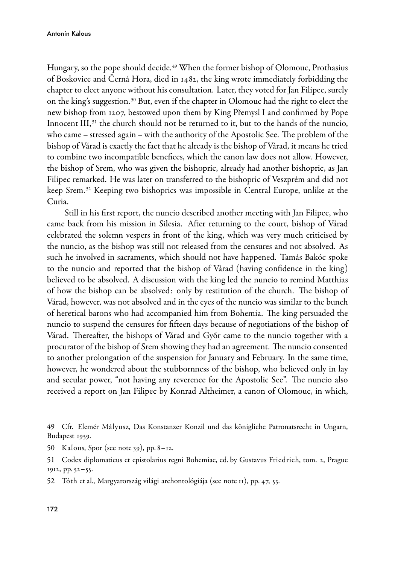Hungary, so the pope should decide.<sup>49</sup> When the former bishop of Olomouc, Prothasius of Boskovice and Černá Hora, died in 1482, the king wrote immediately forbidding the chapter to elect anyone without his consultation. Later, they voted for Jan Filipec, surely on the king's suggestion. <sup>50</sup> But, even if the chapter in Olomouc had the right to elect the new bishop from 1207, bestowed upon them by King Přemysl I and confirmed by Pope Innocent III,  $51$  the church should not be returned to it, but to the hands of the nuncio, who came – stressed again – with the authority of the Apostolic See. The problem of the bishop of Várad is exactly the fact that he already is the bishop of Várad, it means he tried to combine two incompatible benefices, which the canon law does not allow. However, the bishop of Srem, who was given the bishopric, already had another bishopric, as Jan Filipec remarked. He was later on transferred to the bishopric of Veszprém and did not keep Srem. <sup>52</sup> Keeping two bishoprics was impossible in Central Europe, unlike at the Curia.

Still in his first report, the nuncio described another meeting with Jan Filipec, who came back from his mission in Silesia. After returning to the court, bishop of Várad celebrated the solemn vespers in front of the king, which was very much criticised by the nuncio, as the bishop was still not released from the censures and not absolved. As such he involved in sacraments, which should not have happened. Tamás Bakóc spoke to the nuncio and reported that the bishop of Várad (having confidence in the king) believed to be absolved. A discussion with the king led the nuncio to remind Matthias of how the bishop can be absolved: only by restitution of the church. The bishop of Várad, however, was not absolved and in the eyes of the nuncio was similar to the bunch of heretical barons who had accompanied him from Bohemia. The king persuaded the nuncio to suspend the censures for fifteen days because of negotiations of the bishop of Várad. Thereafter, the bishops of Várad and Győr came to the nuncio together with a procurator of the bishop of Srem showing they had an agreement. The nuncio consented to another prolongation of the suspension for January and February. In the same time, however, he wondered about the stubbornness of the bishop, who believed only in lay and secular power, "not having any reverence for the Apostolic See". The nuncio also received a report on Jan Filipec by Konrad Altheimer, a canon of Olomouc, in which,

50 Kalous, Spor (see note 39), pp. 8–12.

52 Tóth et al., Margyarország világi archontológiája (see note 11), pp. 47, 53.

<sup>49</sup> Cfr. Elemér Mályusz, Das Konstanzer Konzil und das königliche Patronatsrecht in Ungarn, Budapest 1959.

<sup>51</sup> Codex diplomaticus et epistolarius regni Bohemiae, ed. by Gustavus Friedrich, tom. 2, Prague 1912, pp. 52–55.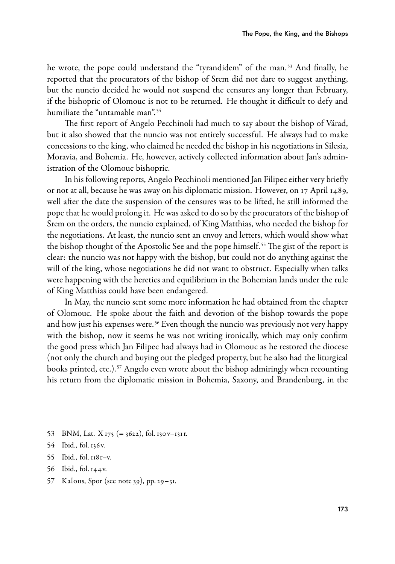he wrote, the pope could understand the "tyrandidem" of the man. <sup>53</sup> And finally, he reported that the procurators of the bishop of Srem did not dare to suggest anything, but the nuncio decided he would not suspend the censures any longer than February, if the bishopric of Olomouc is not to be returned. He thought it difficult to defy and humiliate the "untamable man". <sup>54</sup>

The first report of Angelo Pecchinoli had much to say about the bishop of Várad, but it also showed that the nuncio was not entirely successful. He always had to make concessions to the king, who claimed he needed the bishop in his negotiations in Silesia, Moravia, and Bohemia. He, however, actively collected information about Jan's administration of the Olomouc bishopric.

In his following reports, Angelo Pecchinoli mentioned Jan Filipec either very briefly or not at all, because he was away on his diplomatic mission. However, on 17 April 1489, well after the date the suspension of the censures was to be lifted, he still informed the pope that he would prolong it. He was asked to do so by the procurators of the bishop of Srem on the orders, the nuncio explained, of King Matthias, who needed the bishop for the negotiations. At least, the nuncio sent an envoy and letters, which would show what the bishop thought of the Apostolic See and the pope himself. <sup>55</sup> The gist of the report is clear: the nuncio was not happy with the bishop, but could not do anything against the will of the king, whose negotiations he did not want to obstruct. Especially when talks were happening with the heretics and equilibrium in the Bohemian lands under the rule of King Matthias could have been endangered.

In May, the nuncio sent some more information he had obtained from the chapter of Olomouc. He spoke about the faith and devotion of the bishop towards the pope and how just his expenses were. <sup>56</sup> Even though the nuncio was previously not very happy with the bishop, now it seems he was not writing ironically, which may only confirm the good press which Jan Filipec had always had in Olomouc as he restored the diocese (not only the church and buying out the pledged property, but he also had the liturgical books printed, etc.).<sup>57</sup> Angelo even wrote about the bishop admiringly when recounting his return from the diplomatic mission in Bohemia, Saxony, and Brandenburg, in the

- 53 BNM, Lat.  $X_{175}$  (= 3622), fol. 130v–131r.
- 54 Ibid., fol. 136v.
- 55 Ibid., fol. 118r–v.
- 56 Ibid., fol. 144v.
- 57 Kalous, Spor (see note 39), pp. 29–31.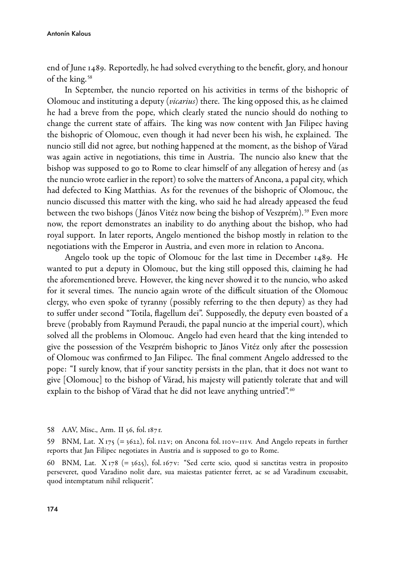end of June 1489. Reportedly, he had solved everything to the benefit, glory, and honour of the king. <sup>58</sup>

In September, the nuncio reported on his activities in terms of the bishopric of Olomouc and instituting a deputy (vicarius) there. The king opposed this, as he claimed he had a breve from the pope, which clearly stated the nuncio should do nothing to change the current state of affairs. The king was now content with Jan Filipec having the bishopric of Olomouc, even though it had never been his wish, he explained. The nuncio still did not agree, but nothing happened at the moment, as the bishop of Várad was again active in negotiations, this time in Austria. The nuncio also knew that the bishop was supposed to go to Rome to clear himself of any allegation of heresy and (as the nuncio wrote earlier in the report) to solve the matters of Ancona, a papal city, which had defected to King Matthias. As for the revenues of the bishopric of Olomouc, the nuncio discussed this matter with the king, who said he had already appeased the feud between the two bishops ( János Vitéz now being the bishop of Veszprém). <sup>59</sup> Even more now, the report demonstrates an inability to do anything about the bishop, who had royal support. In later reports, Angelo mentioned the bishop mostly in relation to the negotiations with the Emperor in Austria, and even more in relation to Ancona.

Angelo took up the topic of Olomouc for the last time in December 1489. He wanted to put a deputy in Olomouc, but the king still opposed this, claiming he had the aforementioned breve. However, the king never showed it to the nuncio, who asked for it several times. The nuncio again wrote of the difficult situation of the Olomouc clergy, who even spoke of tyranny (possibly referring to the then deputy) as they had to suffer under second "Totila, flagellum dei". Supposedly, the deputy even boasted of a breve (probably from Raymund Peraudi, the papal nuncio at the imperial court), which solved all the problems in Olomouc. Angelo had even heard that the king intended to give the possession of the Veszprém bishopric to János Vitéz only after the possession of Olomouc was confirmed to Jan Filipec. The final comment Angelo addressed to the pope: "I surely know, that if your sanctity persists in the plan, that it does not want to give [Olomouc] to the bishop of Várad, his majesty will patiently tolerate that and will explain to the bishop of Várad that he did not leave anything untried".<sup>60</sup>

58 AAV, Misc., Arm. II 56, fol. 187r.

59 BNM, Lat.  $X_{175}$  (= 3622), fol. 112v; on Ancona fol. 110v–111v. And Angelo repeats in further reports that Jan Filipec negotiates in Austria and is supposed to go to Rome.

60 BNM, Lat.  $X_{178}$  (= 3625), fol. 167v: "Sed certe scio, quod si sanctitas vestra in proposito perseveret, quod Varadino nolit dare, sua maiestas patienter ferret, ac se ad Varadinum excusabit, quod intemptatum nihil reliquerit".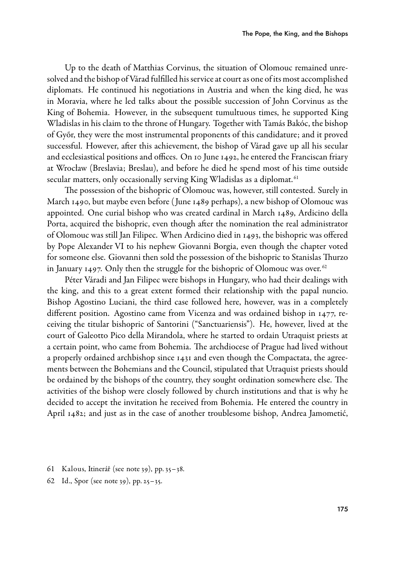Up to the death of Matthias Corvinus, the situation of Olomouc remained unresolved and the bishop of Várad fulfilled his service at court as one of its most accomplished diplomats. He continued his negotiations in Austria and when the king died, he was in Moravia, where he led talks about the possible succession of John Corvinus as the King of Bohemia. However, in the subsequent tumultuous times, he supported King Wladislas in his claim to the throne of Hungary. Together with Tamás Bakóc, the bishop of Győr, they were the most instrumental proponents of this candidature; and it proved successful. However, after this achievement, the bishop of Várad gave up all his secular and ecclesiastical positions and offices. On 10 June 1492, he entered the Franciscan friary at Wrocław (Breslavia; Breslau), and before he died he spend most of his time outside secular matters, only occasionally serving King Wladislas as a diplomat.<sup>61</sup>

The possession of the bishopric of Olomouc was, however, still contested. Surely in March 1490, but maybe even before ( June 1489 perhaps), a new bishop of Olomouc was appointed. One curial bishop who was created cardinal in March 1489, Ardicino della Porta, acquired the bishopric, even though after the nomination the real administrator of Olomouc was still Jan Filipec. When Ardicino died in 1493, the bishopric was offered by Pope Alexander VI to his nephew Giovanni Borgia, even though the chapter voted for someone else. Giovanni then sold the possession of the bishopric to Stanislas Thurzo in January 1497. Only then the struggle for the bishopric of Olomouc was over.<sup>62</sup>

Péter Váradi and Jan Filipec were bishops in Hungary, who had their dealings with the king, and this to a great extent formed their relationship with the papal nuncio. Bishop Agostino Luciani, the third case followed here, however, was in a completely different position. Agostino came from Vicenza and was ordained bishop in 1477, receiving the titular bishopric of Santorini ("Sanctuariensis"). He, however, lived at the court of Galeotto Pico della Mirandola, where he started to ordain Utraquist priests at a certain point, who came from Bohemia. The archdiocese of Prague had lived without a properly ordained archbishop since 1431 and even though the Compactata, the agreements between the Bohemians and the Council, stipulated that Utraquist priests should be ordained by the bishops of the country, they sought ordination somewhere else. The activities of the bishop were closely followed by church institutions and that is why he decided to accept the invitation he received from Bohemia. He entered the country in April 1482; and just as in the case of another troublesome bishop, Andrea Jamometić,

- 61 Kalous, Itinerář (see note 39), pp. 35–38.
- 62 Id., Spor (see note 39), pp. 25–35.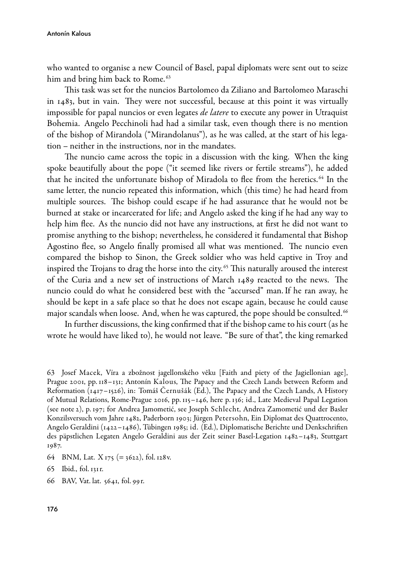who wanted to organise a new Council of Basel, papal diplomats were sent out to seize him and bring him back to Rome.<sup>63</sup>

This task was set for the nuncios Bartolomeo da Ziliano and Bartolomeo Maraschi in 1483, but in vain. They were not successful, because at this point it was virtually impossible for papal nuncios or even legates *de latere* to execute any power in Utraquist Bohemia. Angelo Pecchinoli had had a similar task, even though there is no mention of the bishop of Mirandola ("Mirandolanus"), as he was called, at the start of his legation – neither in the instructions, nor in the mandates.

The nuncio came across the topic in a discussion with the king. When the king spoke beautifully about the pope ("it seemed like rivers or fertile streams"), he added that he incited the unfortunate bishop of Miradola to flee from the heretics. <sup>64</sup> In the same letter, the nuncio repeated this information, which (this time) he had heard from multiple sources. The bishop could escape if he had assurance that he would not be burned at stake or incarcerated for life; and Angelo asked the king if he had any way to help him flee. As the nuncio did not have any instructions, at first he did not want to promise anything to the bishop; nevertheless, he considered it fundamental that Bishop Agostino flee, so Angelo finally promised all what was mentioned. The nuncio even compared the bishop to Sinon, the Greek soldier who was held captive in Troy and inspired the Trojans to drag the horse into the city. <sup>65</sup> This naturally aroused the interest of the Curia and a new set of instructions of March 1489 reacted to the news. The nuncio could do what he considered best with the "accursed" man. If he ran away, he should be kept in a safe place so that he does not escape again, because he could cause major scandals when loose. And, when he was captured, the pope should be consulted.<sup>66</sup>

In further discussions, the king confirmed that if the bishop came to his court (as he wrote he would have liked to), he would not leave. "Be sure of that", the king remarked

- 64 BNM, Lat. X 175 (= 3622), fol. 128v.
- 65 Ibid., fol. 131r.
- 66 BAV, Vat. lat. 5641, fol. 99r.

<sup>63</sup> Josef Macek, Víra a zbožnost jagellonského věku [Faith and piety of the Jagiellonian age], Prague 2001, pp. 118–131; Antonín Kalous, The Papacy and the Czech Lands between Reform and Reformation (1417–1526), in: Tomáš Černušák (Ed.), The Papacy and the Czech Lands, A History of Mutual Relations, RomePrague 2016, pp. 115–146, here p. 136; id., Late Medieval Papal Legation (see note 2), p. 197; for Andrea Jamometić, see Joseph Schlecht, Andrea Zamometić und der Basler Konzilsversuch vom Jahre 1482, Paderborn 1903; Jürgen Petersohn, Ein Diplomat des Quattrocento, Angelo Geraldini (1422–1486), Tübingen 1985; id. (Ed.), Diplomatische Berichte und Denkschriften des päpstlichen Legaten Angelo Geraldini aus der Zeit seiner BaselLegation 1482–1483, Stuttgart 1987.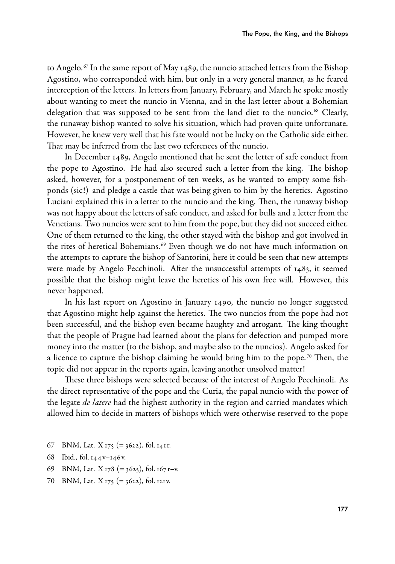to Angelo.<sup>67</sup> In the same report of May 1489, the nuncio attached letters from the Bishop Agostino, who corresponded with him, but only in a very general manner, as he feared interception of the letters. In letters from January, February, and March he spoke mostly about wanting to meet the nuncio in Vienna, and in the last letter about a Bohemian delegation that was supposed to be sent from the land diet to the nuncio.<sup>68</sup> Clearly, the runaway bishop wanted to solve his situation, which had proven quite unfortunate. However, he knew very well that his fate would not be lucky on the Catholic side either. That may be inferred from the last two references of the nuncio.

In December 1489, Angelo mentioned that he sent the letter of safe conduct from the pope to Agostino. He had also secured such a letter from the king. The bishop asked, however, for a postponement of ten weeks, as he wanted to empty some fishponds (sic!) and pledge a castle that was being given to him by the heretics. Agostino Luciani explained this in a letter to the nuncio and the king. Then, the runaway bishop was not happy about the letters of safe conduct, and asked for bulls and a letter from the Venetians. Two nuncios were sent to him from the pope, but they did not succeed either. One of them returned to the king, the other stayed with the bishop and got involved in the rites of heretical Bohemians.<sup>69</sup> Even though we do not have much information on the attempts to capture the bishop of Santorini, here it could be seen that new attempts were made by Angelo Pecchinoli. After the unsuccessful attempts of 1483, it seemed possible that the bishop might leave the heretics of his own free will. However, this never happened.

In his last report on Agostino in January 1490, the nuncio no longer suggested that Agostino might help against the heretics. The two nuncios from the pope had not been successful, and the bishop even became haughty and arrogant. The king thought that the people of Prague had learned about the plans for defection and pumped more money into the matter (to the bishop, and maybe also to the nuncios). Angelo asked for a licence to capture the bishop claiming he would bring him to the pope.<sup>70</sup> Then, the topic did not appear in the reports again, leaving another unsolved matter!

These three bishops were selected because of the interest of Angelo Pecchinoli. As the direct representative of the pope and the Curia, the papal nuncio with the power of the legate *de latere* had the highest authority in the region and carried mandates which allowed him to decide in matters of bishops which were otherwise reserved to the pope

- 67 BNM, Lat. X 175 (= 3622), fol. 141r.
- 68 Ibid., fol. 144v–146v.
- 69 BNM, Lat.  $X_{178}$  (= 3625), fol. 167 r–v.
- 70 BNM, Lat. X 175 (= 3622), fol. 121v.